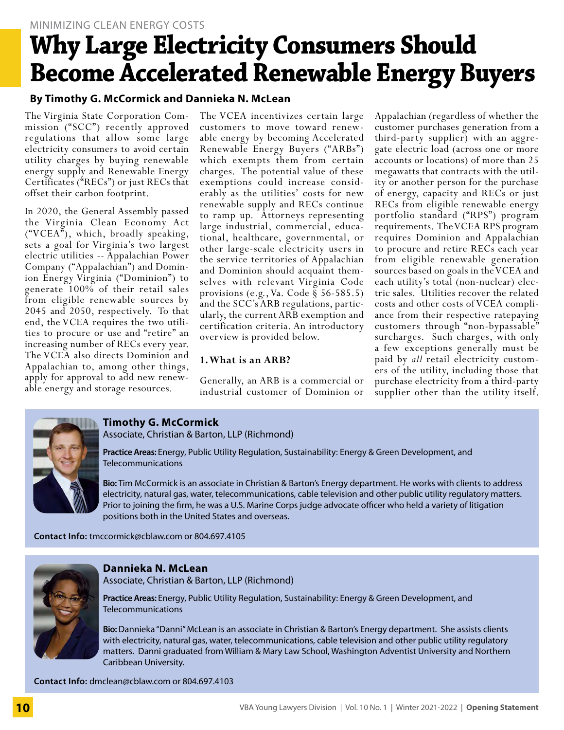# MINIMIZING CLEAN ENERGY COSTS **Why Large Electricity Consumers Should Become Accelerated Renewable Energy Buyers**

# **By Timothy G. McCormick and Dannieka N. McLean**

The Virginia State Corporation Commission ("SCC") recently approved regulations that allow some large electricity consumers to avoid certain utility charges by buying renewable energy supply and Renewable Energy Certificates ("RECs") or just RECs that offset their carbon footprint.

In 2020, the General Assembly passed the Virginia Clean Economy Act  $({\rm ``VCEA''})$ , which, broadly speaking, sets a goal for Virginia's two largest electric utilities -- Appalachian Power Company ("Appalachian") and Dominion Energy Virginia ("Dominion") to generate 100% of their retail sales from eligible renewable sources by 2045 and 2050, respectively. To that end, the VCEA requires the two utilities to procure or use and "retire" an increasing number of RECs every year. The VCEA also directs Dominion and Appalachian to, among other things, apply for approval to add new renewable energy and storage resources.

The VCEA incentivizes certain large customers to move toward renewable energy by becoming Accelerated Renewable Energy Buyers ("ARBs") which exempts them from certain charges. The potential value of these exemptions could increase considerably as the utilities' costs for new renewable supply and RECs continue to ramp up. Attorneys representing large industrial, commercial, educational, healthcare, governmental, or other large-scale electricity users in the service territories of Appalachian and Dominion should acquaint themselves with relevant Virginia Code provisions (e.g., Va. Code § 56-585.5) and the SCC's ARB regulations, particularly, the current ARB exemption and certification criteria. An introductory overview is provided below.

#### **1. What is an ARB?**

Generally, an ARB is a commercial or industrial customer of Dominion or

Appalachian (regardless of whether the customer purchases generation from a third-party supplier) with an aggregate electric load (across one or more accounts or locations) of more than 25 megawatts that contracts with the utility or another person for the purchase of energy, capacity and RECs or just RECs from eligible renewable energy portfolio standard ("RPS") program requirements. The VCEA RPS program requires Dominion and Appalachian to procure and retire RECs each year from eligible renewable generation sources based on goals in the VCEA and each utility's total (non-nuclear) elec- tric sales. Utilities recover the related costs and other costs of VCEA compli- ance from their respective ratepaying customers through "non-bypassable" surcharges. Such charges, with only a few exceptions generally must be paid by *all* retail electricity custom- ers of the utility, including those that purchase electricity from a third-party supplier other than the utility itself.



# **Timothy G. McCormick**

Associate, Christian & Barton, LLP (Richmond)

**Practice Areas:** Energy, Public Utility Regulation, Sustainability: Energy & Green Development, and Telecommunications

**Bio:** Tim McCormick is an associate in Christian & Barton's Energy department. He works with clients to address electricity, natural gas, water, telecommunications, cable television and other public utility regulatory matters. Prior to joining the firm, he was a U.S. Marine Corps judge advocate officer who held a variety of litigation positions both in the United States and overseas.

**Contact Info:** [tmccormick@cblaw.com](mailto:tmccormick%40cblaw.com?subject=) or 804.697.4105



#### **Dannieka N. McLean**

Associate, Christian & Barton, LLP (Richmond)

**Practice Areas:** Energy, Public Utility Regulation, Sustainability: Energy & Green Development, and Telecommunications

**Bio:** Dannieka "Danni" McLean is an associate in Christian & Barton's Energy department. She assists clients with electricity, natural gas, water, telecommunications, cable television and other public utility regulatory matters. Danni graduated from William & Mary Law School, Washington Adventist University and Northern Caribbean University.

**Contact Info:** [dmclean@cblaw.com](mailto:dmclean%40cblaw.com?subject=) or 804.697.4103